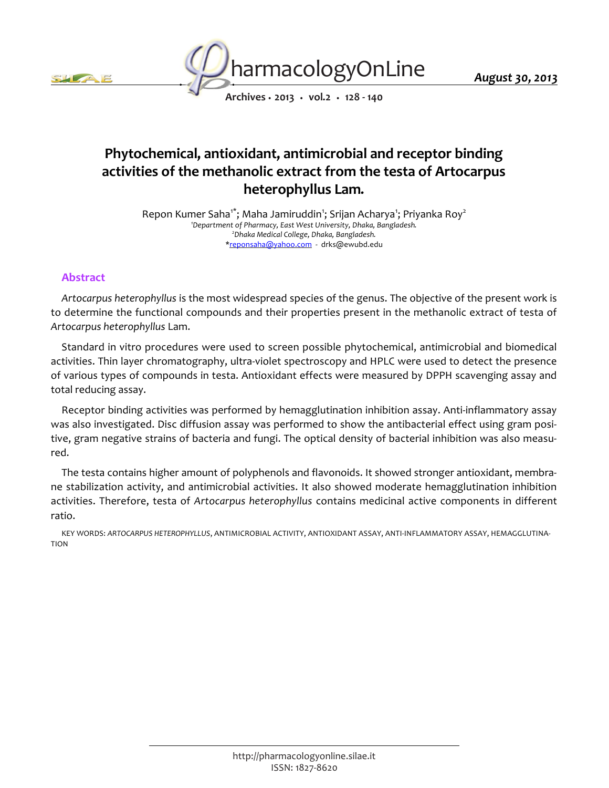



*Archives • 2013 • vol.2 • 128 - 140*

# *Phytochemical, antioxidant, antimicrobial and receptor binding activities of the methanolic extract from the testa of Artocarpus heterophyllus Lam.*

*Repon Kumer Saha1\*; Maha Jamiruddin<sup>1</sup> ; Srijan Acharya<sup>1</sup> ; Priyanka Roy<sup>2</sup> <sup>1</sup>Department of Pharmacy, East West University, Dhaka, Bangladesh. <sup>2</sup>Dhaka Medical College, Dhaka, Bangladesh. \*reponsaha@yahoo.com - drks@ewubd.edu*

# *Abstract*

*Artocarpus heterophyllus is the most widespread species of the genus. The objective of the present work is*  to determine the functional compounds and their properties present in the methanolic extract of testa of *Artocarpus heterophyllus Lam.*

*Standard in vitro procedures were used to screen possible phytochemical, antimicrobial and biomedical activities. Thin layer chromatography, ultra-violet spectroscopy and HPLC were used to detect the presence of various types of compounds in testa. Antioxidant effects were measured by DPPH scavenging assay and total reducing assay.*

*Receptor binding activities was performed by hemagglutination inhibition assay. Anti-inflammatory assay was also investigated. Disc diffusion assay was performed to show the antibacterial effect using gram positive, gram negative strains of bacteria and fungi. The optical density of bacterial inhibition was also measured.*

*The testa contains higher amount of polyphenols and flavonoids. It showed stronger antioxidant, membrane stabilization activity, and antimicrobial activities. It also showed moderate hemagglutination inhibition activities. Therefore, testa of Artocarpus heterophyllus contains medicinal active components in different ratio.*

*KEY WORDS: ARTOCARPUS HETEROPHYLLUS, ANTIMICROBIAL ACTIVITY, ANTIOXIDANT ASSAY, ANTI-INFLAMMATORY ASSAY, HEMAGGLUTINA-TION*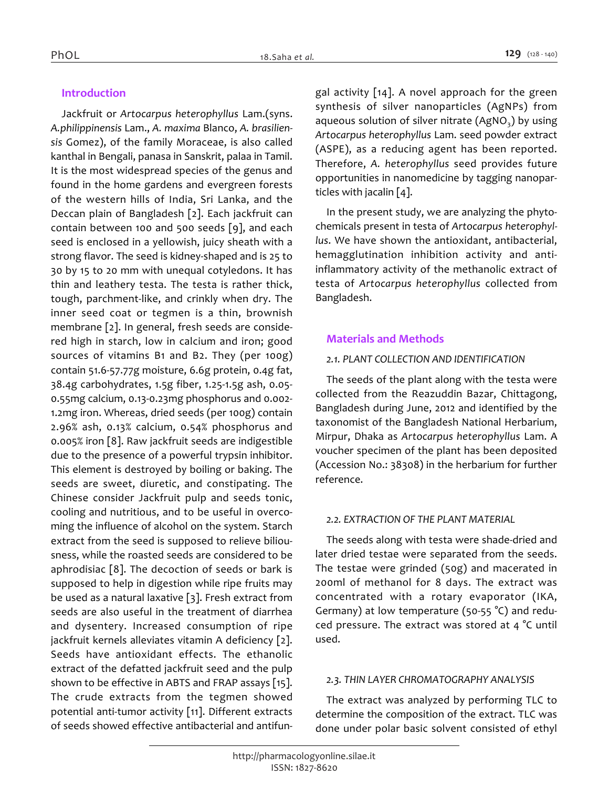# *Introduction*

*Jackfruit or Artocarpus heterophyllus Lam.(syns. A.philippinensis Lam., A. maxima Blanco, A. brasiliensis Gomez), of the family Moraceae, is also called kanthal in Bengali, panasa in Sanskrit, palaa in Tamil. It is the most widespread species of the genus and found in the home gardens and evergreen forests of the western hills of India, Sri Lanka, and the Deccan plain of Bangladesh [2]. Each jackfruit can contain between 100 and 500 seeds [9], and each seed is enclosed in a yellowish, juicy sheath with a strong flavor. The seed is kidney-shaped and is 25 to 30 by 15 to 20 mm with unequal cotyledons. It has thin and leathery testa. The testa is rather thick, tough, parchment-like, and crinkly when dry. The inner seed coat or tegmen is a thin, brownish membrane [2]. In general, fresh seeds are considered high in starch, low in calcium and iron; good sources of vitamins B1 and B2. They (per 100g) contain 51.6-57.77g moisture, 6.6g protein, 0.4g fat, 38.4g carbohydrates, 1.5g fiber, 1.25-1.5g ash, 0.05- 0.55mg calcium, 0.13-0.23mg phosphorus and 0.002- 1.2mg iron. Whereas, dried seeds (per 100g) contain 2.96% ash, 0.13% calcium, 0.54% phosphorus and 0.005% iron [8]. Raw jackfruit seeds are indigestible due to the presence of a powerful trypsin inhibitor. This element is destroyed by boiling or baking. The seeds are sweet, diuretic, and constipating. The Chinese consider Jackfruit pulp and seeds tonic, cooling and nutritious, and to be useful in overcoming the influence of alcohol on the system. Starch extract from the seed is supposed to relieve biliousness, while the roasted seeds are considered to be aphrodisiac [8]. The decoction of seeds or bark is supposed to help in digestion while ripe fruits may be used as a natural laxative [3]. Fresh extract from seeds are also useful in the treatment of diarrhea and dysentery. Increased consumption of ripe jackfruit kernels alleviates vitamin A deficiency [2]. Seeds have antioxidant effects. The ethanolic extract of the defatted jackfruit seed and the pulp shown to be effective in ABTS and FRAP assays [15]. The crude extracts from the tegmen showed potential anti-tumor activity [11]. Different extracts of seeds showed effective antibacterial and antifun-* *gal activity [14]. A novel approach for the green synthesis of silver nanoparticles (AgNPs) from aqueous solution of silver nitrate (AgNO<sup>3</sup> ) by using Artocarpus heterophyllus Lam. seed powder extract (ASPE), as a reducing agent has been reported. Therefore, A. heterophyllus seed provides future opportunities in nanomedicine by tagging nanoparticles with jacalin [4].*

*In the present study, we are analyzing the phytochemicals present in testa of Artocarpus heterophyllus. We have shown the antioxidant, antibacterial, hemagglutination inhibition activity and antiinflammatory activity of the methanolic extract of testa of Artocarpus heterophyllus collected from Bangladesh.*

### *Materials and Methods*

### *2.1. PLANT COLLECTION AND IDENTIFICATION*

*The seeds of the plant along with the testa were collected from the Reazuddin Bazar, Chittagong, Bangladesh during June, 2012 and identified by the taxonomist of the Bangladesh National Herbarium, Mirpur, Dhaka as Artocarpus heterophyllus Lam. A voucher specimen of the plant has been deposited (Accession No.: 38308) in the herbarium for further reference.*

### *2.2. EXTRACTION OF THE PLANT MATERIAL*

*The seeds along with testa were shade-dried and later dried testae were separated from the seeds. The testae were grinded (50g) and macerated in 200ml of methanol for 8 days. The extract was concentrated with a rotary evaporator (IKA, Germany) at low temperature (50-55 °C) and reduced pressure. The extract was stored at 4 °C until used.*

### *2.3. THIN LAYER CHROMATOGRAPHY ANALYSIS*

*The extract was analyzed by performing TLC to determine the composition of the extract. TLC was done under polar basic solvent consisted of ethyl*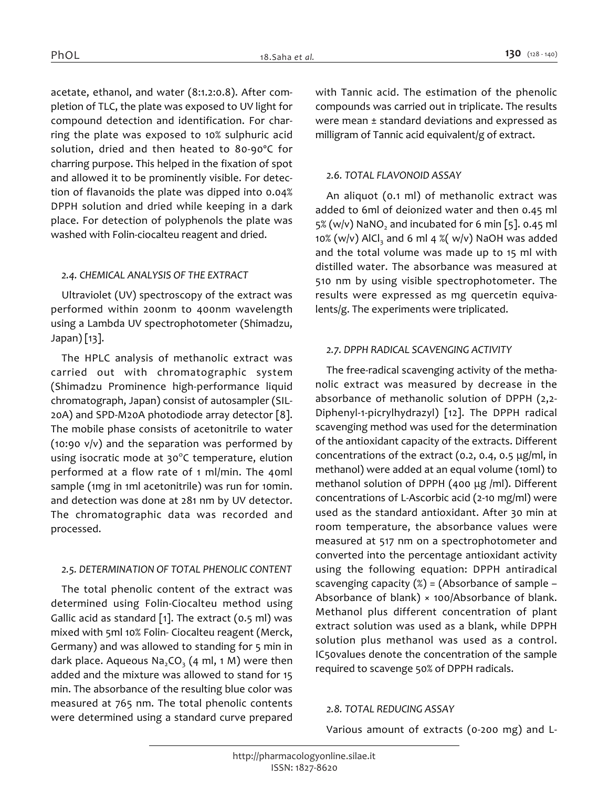*acetate, ethanol, and water (8:1.2:0.8). After completion of TLC, the plate was exposed to UV light for compound detection and identification. For charring the plate was exposed to 10% sulphuric acid solution, dried and then heated to 80-90ºC for charring purpose. This helped in the fixation of spot and allowed it to be prominently visible. For detection of flavanoids the plate was dipped into 0.04% DPPH solution and dried while keeping in a dark place. For detection of polyphenols the plate was washed with Folin-ciocalteu reagent and dried.*

### *2.4. CHEMICAL ANALYSIS OF THE EXTRACT*

*Ultraviolet (UV) spectroscopy of the extract was performed within 200nm to 400nm wavelength using a Lambda UV spectrophotometer (Shimadzu, Japan) [13].*

*The HPLC analysis of methanolic extract was carried out with chromatographic system (Shimadzu Prominence high-performance liquid chromatograph, Japan) consist of autosampler (SIL-20A) and SPD-M20A photodiode array detector [8]. The mobile phase consists of acetonitrile to water (10:90 v/v) and the separation was performed by using isocratic mode at 30<sup>o</sup> C temperature, elution performed at a flow rate of 1 ml/min. The 40ml sample (1mg in 1ml acetonitrile) was run for 10min. and detection was done at 281 nm by UV detector. The chromatographic data was recorded and processed.*

# *2.5. DETERMINATION OF TOTAL PHENOLIC CONTENT*

*The total phenolic content of the extract was determined using Folin-Ciocalteu method using Gallic acid as standard [1]. The extract (0.5 ml) was mixed with 5ml 10% Folin- Ciocalteu reagent (Merck, Germany) and was allowed to standing for 5 min in dark place. Aqueous Na2CO<sup>3</sup> (4 ml, 1 M) were then added and the mixture was allowed to stand for 15 min. The absorbance of the resulting blue color was measured at 765 nm. The total phenolic contents were determined using a standard curve prepared* 

*with Tannic acid. The estimation of the phenolic compounds was carried out in triplicate. The results were mean ± standard deviations and expressed as milligram of Tannic acid equivalent/g of extract.*

# *2.6. TOTAL FLAVONOID ASSAY*

*An aliquot (0.1 ml) of methanolic extract was added to 6ml of deionized water and then 0.45 ml 5% (w/v) NaNO<sup>2</sup> and incubated for 6 min [5]. 0.45 ml 10% (w/v) AlCl<sup>3</sup> and 6 ml 4 %( w/v) NaOH was added and the total volume was made up to 15 ml with distilled water. The absorbance was measured at 510 nm by using visible spectrophotometer. The results were expressed as mg quercetin equivalents/g. The experiments were triplicated.*

# *2.7. DPPH RADICAL SCAVENGING ACTIVITY*

*The free-radical scavenging activity of the methanolic extract was measured by decrease in the absorbance of methanolic solution of DPPH (2,2- Diphenyl-1-picrylhydrazyl) [12]. The DPPH radical scavenging method was used for the determination of the antioxidant capacity of the extracts. Different concentrations of the extract (0.2, 0.4, 0.5 μg/ml, in methanol) were added at an equal volume (10ml) to methanol solution of DPPH (400 μg /ml). Different concentrations of L-Ascorbic acid (2-10 mg/ml) were used as the standard antioxidant. After 30 min at room temperature, the absorbance values were measured at 517 nm on a spectrophotometer and converted into the percentage antioxidant activity using the following equation: DPPH antiradical scavenging capacity (%) = (Absorbance of sample – Absorbance of blank) × 100/Absorbance of blank. Methanol plus different concentration of plant extract solution was used as a blank, while DPPH solution plus methanol was used as a control. IC50values denote the concentration of the sample required to scavenge 50% of DPPH radicals.*

### *2.8. TOTAL REDUCING ASSAY*

*Various amount of extracts (0-200 mg) and L-*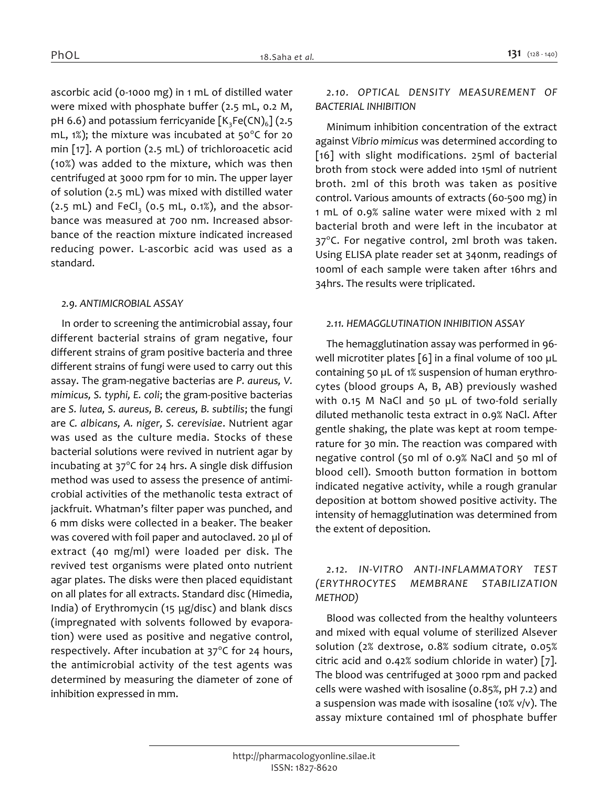*ascorbic acid (0-1000 mg) in 1 mL of distilled water were mixed with phosphate buffer (2.5 mL, 0.2 M, pH 6.6) and potassium ferricyanide [K3Fe(CN)<sup>6</sup> ] (2.5 mL, 1%); the mixture was incubated at 50<sup>0</sup> C for 20 min [17]. A portion (2.5 mL) of trichloroacetic acid (10%) was added to the mixture, which was then centrifuged at 3000 rpm for 10 min. The upper layer of solution (2.5 mL) was mixed with distilled water (2.5 mL) and FeCl<sup>3</sup> (0.5 mL, 0.1%), and the absorbance was measured at 700 nm. Increased absorbance of the reaction mixture indicated increased reducing power. L-ascorbic acid was used as a standard.*

#### *2.9. ANTIMICROBIAL ASSAY*

*In order to screening the antimicrobial assay, four different bacterial strains of gram negative, four different strains of gram positive bacteria and three different strains of fungi were used to carry out this assay. The gram-negative bacterias are P. aureus, V. mimicus, S. typhi, E. coli; the gram-positive bacterias are S. lutea, S. aureus, B. cereus, B. subtilis; the fungi are C. albicans, A. niger, S. cerevisiae. Nutrient agar was used as the culture media. Stocks of these bacterial solutions were revived in nutrient agar by incubating at 37<sup>0</sup> C for 24 hrs. A single disk diffusion method was used to assess the presence of antimicrobial activities of the methanolic testa extract of jackfruit. Whatman's filter paper was punched, and 6 mm disks were collected in a beaker. The beaker was covered with foil paper and autoclaved. 20 µl of extract (40 mg/ml) were loaded per disk. The revived test organisms were plated onto nutrient agar plates. The disks were then placed equidistant on all plates for all extracts. Standard disc (Himedia, India) of Erythromycin (15 μg/disc) and blank discs (impregnated with solvents followed by evaporation) were used as positive and negative control, respectively. After incubation at 37<sup>0</sup> C for 24 hours, the antimicrobial activity of the test agents was determined by measuring the diameter of zone of inhibition expressed in mm.*

# *2.10. OPTICAL DENSITY MEASUREMENT OF BACTERIAL INHIBITION*

*Minimum inhibition concentration of the extract against Vibrio mimicus was determined according to [16] with slight modifications. 25ml of bacterial broth from stock were added into 15ml of nutrient broth. 2ml of this broth was taken as positive control. Various amounts of extracts (60-500 mg) in 1 mL of 0.9% saline water were mixed with 2 ml bacterial broth and were left in the incubator at 37<sup>o</sup> C. For negative control, 2ml broth was taken. Using ELISA plate reader set at 340nm, readings of 100ml of each sample were taken after 16hrs and 34hrs. The results were triplicated.*

#### *2.11. HEMAGGLUTINATION INHIBITION ASSAY*

*The hemagglutination assay was performed in 96 well microtiter plates [6] in a final volume of 100 µL containing 50 µL of 1% suspension of human erythrocytes (blood groups A, B, AB) previously washed with 0.15 M NaCl and 50 µL of two-fold serially diluted methanolic testa extract in 0.9% NaCl. After gentle shaking, the plate was kept at room temperature for 30 min. The reaction was compared with negative control (50 ml of 0.9% NaCl and 50 ml of blood cell). Smooth button formation in bottom indicated negative activity, while a rough granular deposition at bottom showed positive activity. The intensity of hemagglutination was determined from the extent of deposition.*

# *2.12. IN-VITRO ANTI-INFLAMMATORY TEST (ERYTHROCYTES MEMBRANE STABILIZATION METHOD)*

*Blood was collected from the healthy volunteers and mixed with equal volume of sterilized Alsever solution (2% dextrose, 0.8% sodium citrate, 0.05% citric acid and 0.42% sodium chloride in water) [7]. The blood was centrifuged at 3000 rpm and packed cells were washed with isosaline (0.85%, pH 7.2) and a suspension was made with isosaline (10% v/v). The assay mixture contained 1ml of phosphate buffer*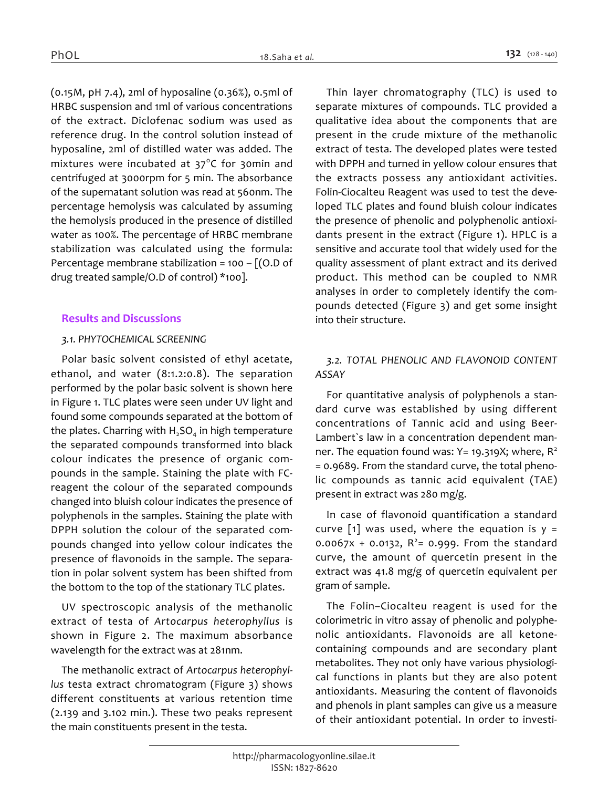*(0.15M, pH 7.4), 2ml of hyposaline (0.36%), 0.5ml of HRBC suspension and 1ml of various concentrations of the extract. Diclofenac sodium was used as reference drug. In the control solution instead of hyposaline, 2ml of distilled water was added. The mixtures were incubated at 37<sup>0</sup> C for 30min and centrifuged at 3000rpm for 5 min. The absorbance of the supernatant solution was read at 560nm. The percentage hemolysis was calculated by assuming the hemolysis produced in the presence of distilled water as 100%. The percentage of HRBC membrane stabilization was calculated using the formula: Percentage membrane stabilization = 100 – [(O.D of drug treated sample/O.D of control) \*100].*

# *Results and Discussions*

# *3.1. PHYTOCHEMICAL SCREENING*

*Polar basic solvent consisted of ethyl acetate, ethanol, and water (8:1.2:0.8). The separation performed by the polar basic solvent is shown here in Figure 1. TLC plates were seen under UV light and found some compounds separated at the bottom of the plates. Charring with H2SO<sup>4</sup> in high temperature the separated compounds transformed into black colour indicates the presence of organic compounds in the sample. Staining the plate with FCreagent the colour of the separated compounds changed into bluish colour indicates the presence of polyphenols in the samples. Staining the plate with DPPH solution the colour of the separated compounds changed into yellow colour indicates the presence of flavonoids in the sample. The separation in polar solvent system has been shifted from the bottom to the top of the stationary TLC plates.*

*UV spectroscopic analysis of the methanolic extract of testa of Artocarpus heterophyllus is shown in Figure 2. The maximum absorbance wavelength for the extract was at 281nm.*

*The methanolic extract of Artocarpus heterophyllus testa extract chromatogram (Figure 3) shows different constituents at various retention time (2.139 and 3.102 min.). These two peaks represent the main constituents present in the testa.*

*Thin layer chromatography (TLC) is used to separate mixtures of compounds. TLC provided a qualitative idea about the components that are present in the crude mixture of the methanolic extract of testa. The developed plates were tested with DPPH and turned in yellow colour ensures that the extracts possess any antioxidant activities. Folin-Ciocalteu Reagent was used to test the developed TLC plates and found bluish colour indicates the presence of phenolic and polyphenolic antioxidants present in the extract (Figure 1). HPLC is a sensitive and accurate tool that widely used for the quality assessment of plant extract and its derived product. This method can be coupled to NMR analyses in order to completely identify the compounds detected (Figure 3) and get some insight into their structure.*

# *3.2. TOTAL PHENOLIC AND FLAVONOID CONTENT ASSAY*

*For quantitative analysis of polyphenols a standard curve was established by using different concentrations of Tannic acid and using Beer-Lambert`s law in a concentration dependent manner. The equation found was: Y= 19.319X; where, R<sup>2</sup> = 0.9689. From the standard curve, the total phenolic compounds as tannic acid equivalent (TAE) present in extract was 280 mg/g.*

*In case of flavonoid quantification a standard curve [1] was used, where the equation is y = 0.0067x + 0.0132, R<sup>2</sup> = 0.999. From the standard curve, the amount of quercetin present in the extract was 41.8 mg/g of quercetin equivalent per gram of sample.*

*The Folin–Ciocalteu reagent is used for the colorimetric in vitro assay of phenolic and polyphenolic antioxidants. Flavonoids are all ketonecontaining compounds and are secondary plant metabolites. They not only have various physiological functions in plants but they are also potent antioxidants. Measuring the content of flavonoids and phenols in plant samples can give us a measure of their antioxidant potential. In order to investi-*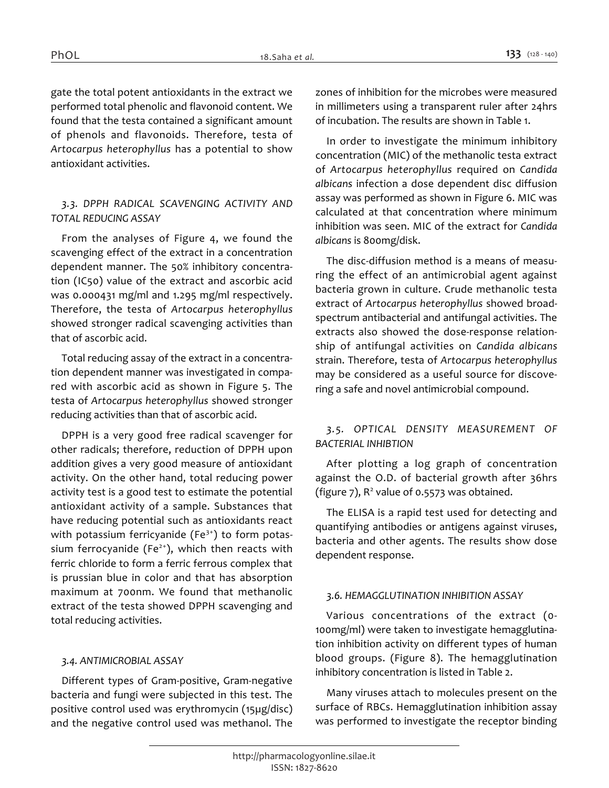*gate the total potent antioxidants in the extract we performed total phenolic and flavonoid content. We found that the testa contained a significant amount of phenols and flavonoids. Therefore, testa of Artocarpus heterophyllus has a potential to show antioxidant activities.*

# *3.3. DPPH RADICAL SCAVENGING ACTIVITY AND TOTAL REDUCING ASSAY*

*From the analyses of Figure 4, we found the scavenging effect of the extract in a concentration dependent manner. The 50% inhibitory concentration (IC50) value of the extract and ascorbic acid was 0.000431 mg/ml and 1.295 mg/ml respectively. Therefore, the testa of Artocarpus heterophyllus showed stronger radical scavenging activities than that of ascorbic acid.*

*Total reducing assay of the extract in a concentration dependent manner was investigated in compared with ascorbic acid as shown in Figure 5. The testa of Artocarpus heterophyllus showed stronger reducing activities than that of ascorbic acid.*

*DPPH is a very good free radical scavenger for other radicals; therefore, reduction of DPPH upon addition gives a very good measure of antioxidant activity. On the other hand, total reducing power activity test is a good test to estimate the potential antioxidant activity of a sample. Substances that have reducing potential such as antioxidants react with potassium ferricyanide (Fe3+) to form potassium ferrocyanide (Fe2+), which then reacts with ferric chloride to form a ferric ferrous complex that is prussian blue in color and that has absorption maximum at 700nm. We found that methanolic extract of the testa showed DPPH scavenging and total reducing activities.*

# *3.4. ANTIMICROBIAL ASSAY*

*Different types of Gram-positive, Gram-negative bacteria and fungi were subjected in this test. The positive control used was erythromycin (15µg/disc) and the negative control used was methanol. The*  *zones of inhibition for the microbes were measured in millimeters using a transparent ruler after 24hrs of incubation. The results are shown in Table 1.*

*In order to investigate the minimum inhibitory concentration (MIC) of the methanolic testa extract of Artocarpus heterophyllus required on Candida albicans infection a dose dependent disc diffusion assay was performed as shown in Figure 6. MIC was calculated at that concentration where minimum inhibition was seen. MIC of the extract for Candida albicans is 800mg/disk.*

*The disc-diffusion method is a means of measuring the effect of an antimicrobial agent against bacteria grown in culture. Crude methanolic testa extract of Artocarpus heterophyllus showed broadspectrum antibacterial and antifungal activities. The extracts also showed the dose-response relationship of antifungal activities on Candida albicans strain. Therefore, testa of Artocarpus heterophyllus may be considered as a useful source for discovering a safe and novel antimicrobial compound.*

# *3.5. OPTICAL DENSITY MEASUREMENT OF BACTERIAL INHIBTION*

*After plotting a log graph of concentration against the O.D. of bacterial growth after 36hrs*  (figure 7), R<sup>2</sup> value of 0.5573 was obtained.

*The ELISA is a rapid test used for detecting and quantifying antibodies or antigens against viruses, bacteria and other agents. The results show dose dependent response.*

# *3.6. HEMAGGLUTINATION INHIBITION ASSAY*

*Various concentrations of the extract (0- 100mg/ml) were taken to investigate hemagglutination inhibition activity on different types of human blood groups. (Figure 8). The hemagglutination inhibitory concentration is listed in Table 2.*

*Many viruses attach to molecules present on the surface of RBCs. Hemagglutination inhibition assay was performed to investigate the receptor binding*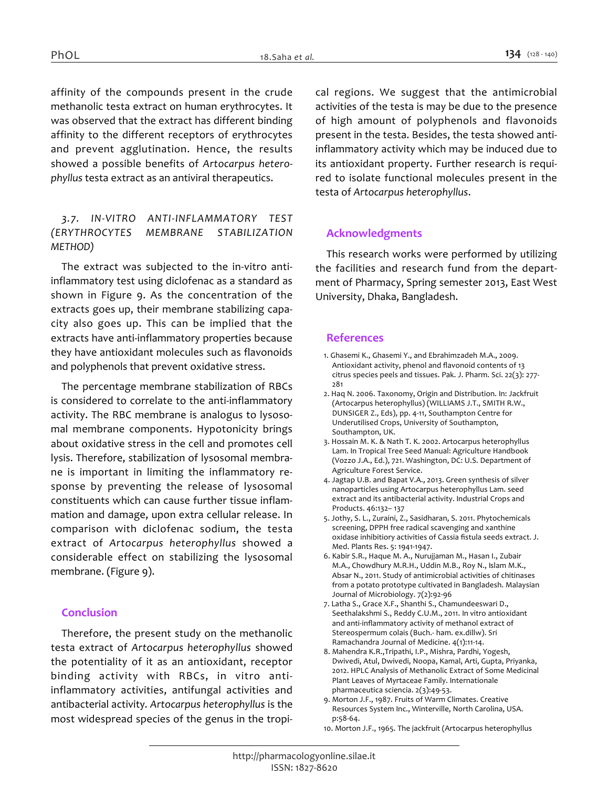*affinity of the compounds present in the crude methanolic testa extract on human erythrocytes. It was observed that the extract has different binding affinity to the different receptors of erythrocytes and prevent agglutination. Hence, the results showed a possible benefits of Artocarpus heterophyllus testa extract as an antiviral therapeutics.*

# *3.7. IN-VITRO ANTI-INFLAMMATORY TEST (ERYTHROCYTES MEMBRANE STABILIZATION METHOD)*

*The extract was subjected to the in-vitro antiinflammatory test using diclofenac as a standard as shown in Figure 9. As the concentration of the extracts goes up, their membrane stabilizing capacity also goes up. This can be implied that the extracts have anti-inflammatory properties because they have antioxidant molecules such as flavonoids and polyphenols that prevent oxidative stress.*

*The percentage membrane stabilization of RBCs is considered to correlate to the anti-inflammatory activity. The RBC membrane is analogus to lysosomal membrane components. Hypotonicity brings about oxidative stress in the cell and promotes cell lysis. Therefore, stabilization of lysosomal membrane is important in limiting the inflammatory response by preventing the release of lysosomal constituents which can cause further tissue inflammation and damage, upon extra cellular release. In comparison with diclofenac sodium, the testa extract of Artocarpus heterophyllus showed a considerable effect on stabilizing the lysosomal membrane. (Figure 9).*

# *Conclusion*

*Therefore, the present study on the methanolic testa extract of Artocarpus heterophyllus showed the potentiality of it as an antioxidant, receptor binding activity with RBCs, in vitro antiinflammatory activities, antifungal activities and antibacterial activity. Artocarpus heterophyllus is the most widespread species of the genus in the tropi-* *cal regions. We suggest that the antimicrobial activities of the testa is may be due to the presence of high amount of polyphenols and flavonoids present in the testa. Besides, the testa showed antiinflammatory activity which may be induced due to its antioxidant property. Further research is required to isolate functional molecules present in the testa of Artocarpus heterophyllus.*

# *Acknowledgments*

*This research works were performed by utilizing the facilities and research fund from the department of Pharmacy, Spring semester 2013, East West University, Dhaka, Bangladesh.*

### *References*

- *1. Ghasemi K., Ghasemi Y., and Ebrahimzadeh M.A., 2009. Antioxidant activity, phenol and flavonoid contents of 13 citrus species peels and tissues. Pak. J. Pharm. Sci. 22(3): 277- 281*
- *2. Haq N. 2006. Taxonomy, Origin and Distribution. In: Jackfruit (Artocarpus heterophyllus) (WILLIAMS J.T., SMITH R.W., DUNSIGER Z., Eds), pp. 4-11, Southampton Centre for Underutilised Crops, University of Southampton, Southampton, UK.*
- *3. Hossain M. K. & Nath T. K. 2002. Artocarpus heterophyllus Lam. In Tropical Tree Seed Manual: Agriculture Handbook (Vozzo J.A., Ed.), 721. Washington, DC: U.S. Department of Agriculture Forest Service.*
- *4. Jagtap U.B. and Bapat V.A., 2013. Green synthesis of silver nanoparticles using Artocarpus heterophyllus Lam. seed extract and its antibacterial activity. Industrial Crops and Products. 46:132– 137*
- *5. Jothy, S. L., Zuraini, Z., Sasidharan, S. 2011. Phytochemicals screening, DPPH free radical scavenging and xanthine oxidase inhibitiory activities of Cassia fistula seeds extract. J. Med. Plants Res. 5: 1941-1947.*
- *6. Kabir S.R., Haque M. A., Nurujjaman M., Hasan I., Zubair M.A., Chowdhury M.R.H., Uddin M.B., Roy N., Islam M.K., Absar N., 2011. Study of antimicrobial activities of chitinases from a potato prototype cultivated in Bangladesh. Malaysian Journal of Microbiology. 7(2):92-96*
- *7. Latha S., Grace X.F., Shanthi S., Chamundeeswari D., Seethalakshmi S., Reddy C.U.M., 2011. In vitro antioxidant and anti-inflammatory activity of methanol extract of Stereospermum colais (Buch.- ham. ex.dillw). Sri Ramachandra Journal of Medicine. 4(1):11-14.*
- *8. Mahendra K.R.,Tripathi, I.P., Mishra, Pardhi, Yogesh, Dwivedi, Atul, Dwivedi, Noopa, Kamal, Arti, Gupta, Priyanka, 2012. HPLC Analysis of Methanolic Extract of Some Medicinal Plant Leaves of Myrtaceae Family. Internationale pharmaceutica sciencia. 2(3):49-53.*
- *9. Morton J.F., 1987. Fruits of Warm Climates. Creative Resources System Inc., Winterville, North Carolina, USA. p:58-64.*
- *10. Morton J.F., 1965. The jackfruit (Artocarpus heterophyllus*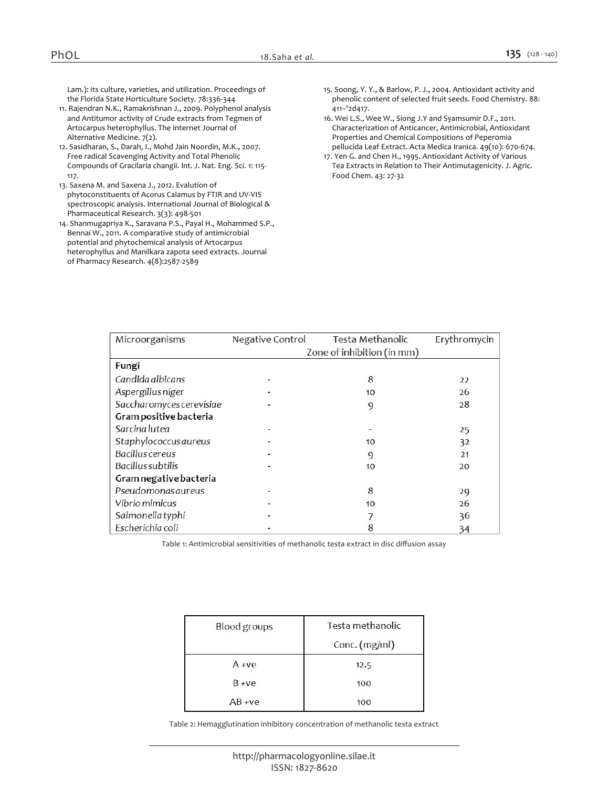*Lam.): its culture, varieties, and utilization. Proceedings of the Florida State Horticulture Society. 78:336-344*

- *11. Rajendran N.K., Ramakrishnan J., 2009. Polyphenol analysis and Antitumor activity of Crude extracts from Tegmen of Artocarpus heterophyllus. The Internet Journal of Alternative Medicine. 7(2).*
- *12. Sasidharan, S., Darah, I., Mohd Jain Noordin, M.K., 2007. Free radical Scavenging Activity and Total Phenolic Compounds of Gracilaria changii. Int. J. Nat. Eng. Sci. 1: 115- 117.*
- *13. Saxena M. and Saxena J., 2012. Evalution of phytoconstituents of Acorus Calamus by FTIR and UV-VIS spectroscopic analysis. International Journal of Biological & Pharmaceutical Research. 3(3): 498-501*
- *14. Shanmugapriya K., Saravana P.S., Payal H., Mohammed S.P., Bennai W., 2011. A comparative study of antimicrobial potential and phytochemical analysis of Artocarpus heterophyllus and Manilkara zapota seed extracts. Journal of Pharmacy Research. 4(8):2587-2589*
- *15. Soong, Y. Y., & Barlow, P. J., 2004. Antioxidant activity and phenolic content of selected fruit seeds. Food Chemistry. 88: 411−'2d417.*
- *16. Wei L.S., Wee W., Siong J.Y and Syamsumir D.F., 2011. Characterization of Anticancer, Antimicrobial, Antioxidant Properties and Chemical Compositions of Peperomia pellucida Leaf Extract. Acta Medica Iranica. 49(10): 670-674.*
- *17. Yen G. and Chen H., 1995. Antioxidant Activity of Various Tea Extracts in Relation to Their Antimutagenicity. J. Agric. Food Chem. 43: 27-32*

| Microorganisms               | <b>Negative Control</b>    | Testa Methanolic | Erythromycin |
|------------------------------|----------------------------|------------------|--------------|
|                              | Zone of inhibition (in mm) |                  |              |
| Fungi                        |                            |                  |              |
| Candida albicans             |                            | 8                | 22           |
| <b>Aspergillus niger</b>     |                            | 10               | 26           |
| Saccharomyces cerevisiae     |                            | 9                | 28           |
| Gram positive bacteria       |                            |                  |              |
| Sarcina lutea                |                            |                  | 25           |
| <b>Staphylococcus aureus</b> |                            | 10               | 32           |
| Bacillus cereus              |                            | 9                | 21           |
| Bacillus subtilis            |                            | 10               | 20           |
| Gram negative bacteria       |                            |                  |              |
| <b>Pseudomonas aureus</b>    |                            | 8                | 29           |
| Vibrio mimicus               |                            | 10               | 26           |
| Salmonella typhi             |                            |                  | 36           |
| Escherichia coli             |                            | 8                | 34           |

*Table 1: Antimicrobial sensitivities of methanolic testa extract in disc diffusion assay*

| <b>Blood</b> groups | Testa methanolic |  |
|---------------------|------------------|--|
|                     | Conc. (mg/ml)    |  |
| $A + ve$            | 12.5             |  |
| $B + ve$            | 100              |  |
| $AB + ve$           | 100              |  |

*Table 2: Hemagglutination inhibitory concentration of methanolic testa extract*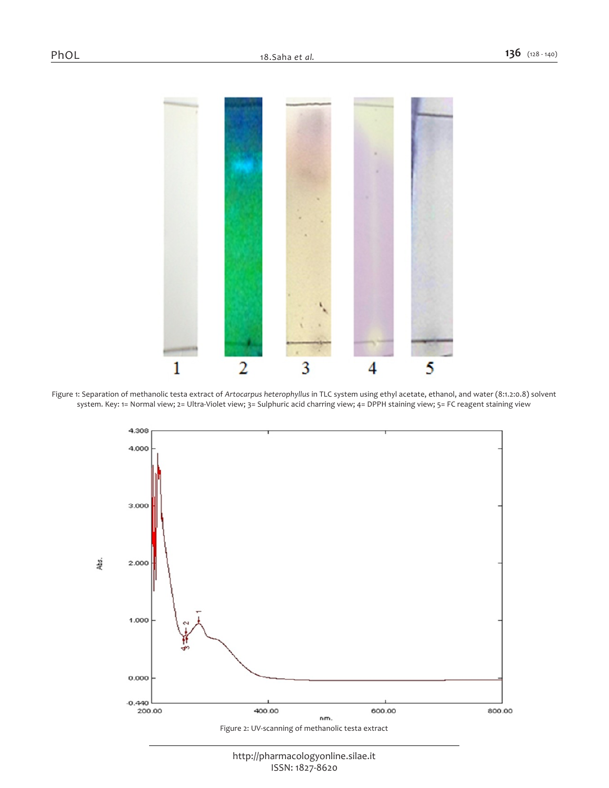

*Figure 1: Separation of methanolic testa extract of Artocarpus heterophyllus in TLC system using ethyl acetate, ethanol, and water (8:1.2:0.8) solvent system. Key: 1= Normal view; 2= Ultra-Violet view; 3= Sulphuric acid charring view; 4= DPPH staining view; 5= FC reagent staining view*



*http://pharmacologyonline.silae.it ISSN: 1827-8620*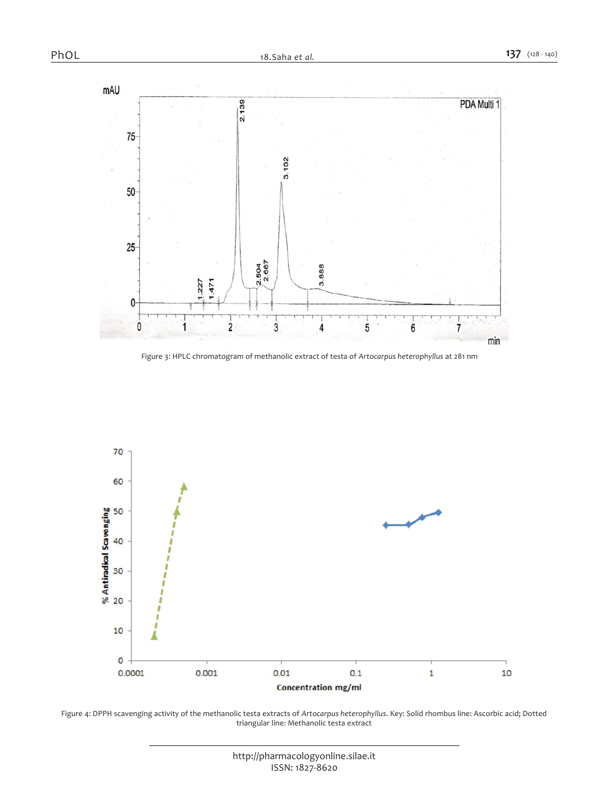

*Figure 3: HPLC chromatogram of methanolic extract of testa of Artocarpus heterophyllus at 281 nm*



Figure 4: DPPH scavenging activity of the methanolic testa extracts of Artocarpus heterophyllus. Key: Solid rhombus line: Ascorbic acid; Dotted *triangular line: Methanolic testa extract*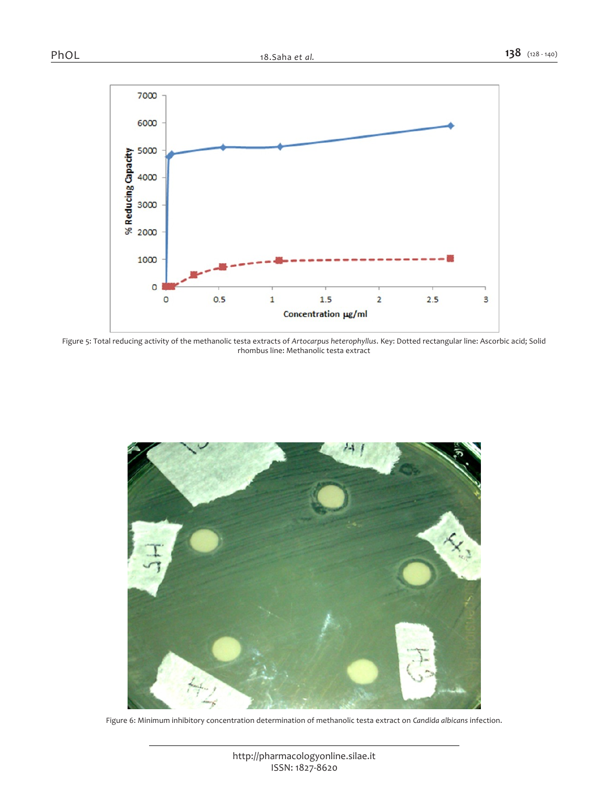

*Figure 5: Total reducing activity of the methanolic testa extracts of Artocarpus heterophyllus. Key: Dotted rectangular line: Ascorbic acid; Solid rhombus line: Methanolic testa extract*



*Figure 6: Minimum inhibitory concentration determination of methanolic testa extract on Candida albicans infection.*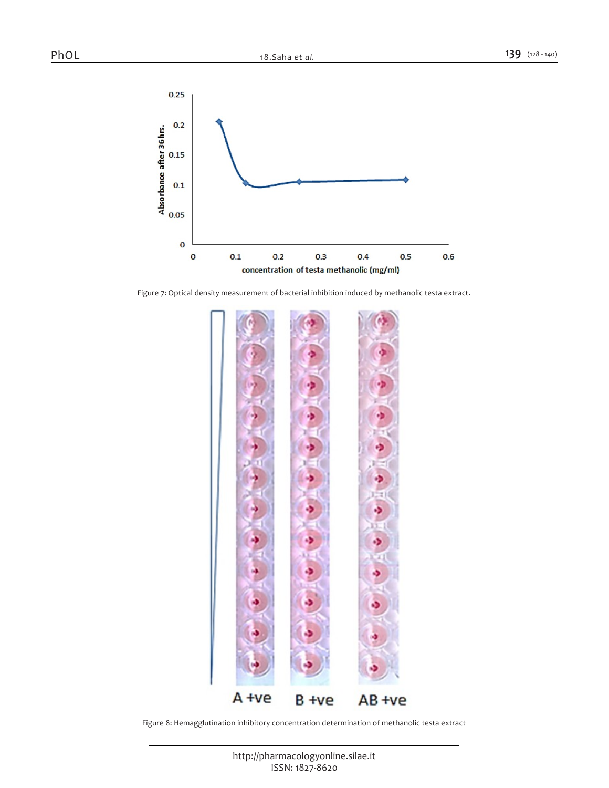

*Figure 7: Optical density measurement of bacterial inhibition induced by methanolic testa extract.*



*Figure 8: Hemagglutination inhibitory concentration determination of methanolic testa extract*